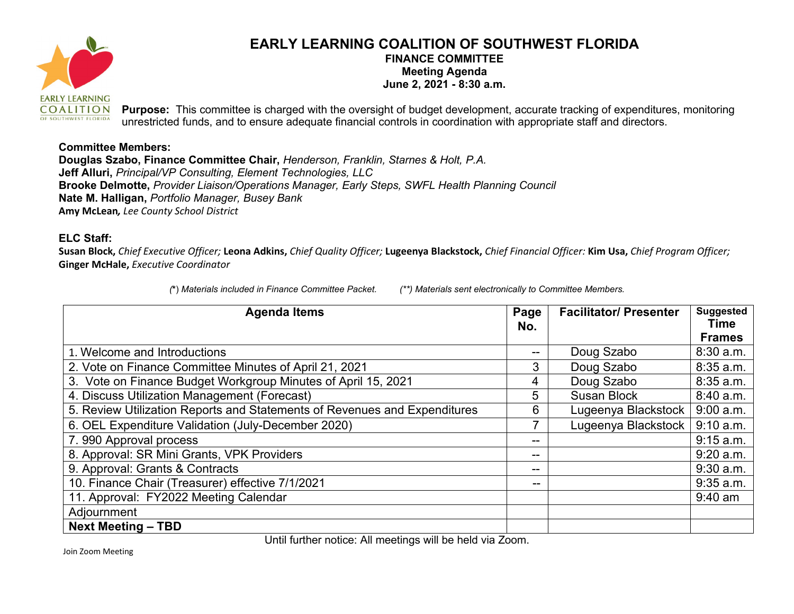

## **EARLY LEARNING COALITION OF SOUTHWEST FLORIDA FINANCE COMMITTEE Meeting Agenda June 2, 2021 - 8:30 a.m.**

**Purpose:** This committee is charged with the oversight of budget development, accurate tracking of expenditures, monitoring unrestricted funds, and to ensure adequate financial controls in coordination with appropriate staff and directors.

## **Committee Members:**

**Douglas Szabo, Finance Committee Chair,** *Henderson, Franklin, Starnes & Holt, P.A.*  **Jeff Alluri,** *Principal/VP Consulting, Element Technologies, LLC*  **Brooke Delmotte,** *Provider Liaison/Operations Manager, Early Steps, SWFL Health Planning Council*  **Nate M. Halligan,** *Portfolio Manager, Busey Bank*  **Amy McLean***, Lee County School District*

## **ELC Staff:**

**Susan Block,** *Chief Executive Officer;* **Leona Adkins,** *Chief Quality Officer;* **Lugeenya Blackstock,** *Chief Financial Officer:* **Kim Usa,** *Chief Program Officer;*  **Ginger McHale,** *Executive Coordinator*

*(***\***) *Materials included in Finance Committee Packet. (\*\*) Materials sent electronically to Committee Members.*

| <b>Agenda Items</b>                                                       | Page<br>No. | <b>Facilitator/ Presenter</b> | <b>Suggested</b><br><b>Time</b><br><b>Frames</b> |
|---------------------------------------------------------------------------|-------------|-------------------------------|--------------------------------------------------|
| 1. Welcome and Introductions                                              | --          | Doug Szabo                    | 8:30 a.m.                                        |
| 2. Vote on Finance Committee Minutes of April 21, 2021                    | 3           | Doug Szabo                    | 8:35 a.m.                                        |
| 3. Vote on Finance Budget Workgroup Minutes of April 15, 2021             | 4           | Doug Szabo                    | 8:35 a.m.                                        |
| 4. Discuss Utilization Management (Forecast)                              | 5           | <b>Susan Block</b>            | 8:40 a.m.                                        |
| 5. Review Utilization Reports and Statements of Revenues and Expenditures | 6           | Lugeenya Blackstock           | $9:00$ a.m.                                      |
| 6. OEL Expenditure Validation (July-December 2020)                        |             | Lugeenya Blackstock           | 9:10 a.m.                                        |
| 7.990 Approval process                                                    | --          |                               | 9:15 a.m.                                        |
| 8. Approval: SR Mini Grants, VPK Providers                                |             |                               | $9:20$ a.m.                                      |
| 9. Approval: Grants & Contracts                                           | --          |                               | $9:30$ a.m.                                      |
| 10. Finance Chair (Treasurer) effective 7/1/2021                          | $- -$       |                               | $9:35$ a.m.                                      |
| 11. Approval: FY2022 Meeting Calendar                                     |             |                               | $9:40$ am                                        |
| Adjournment                                                               |             |                               |                                                  |
| <b>Next Meeting - TBD</b>                                                 |             |                               |                                                  |

Until further notice: All meetings will be held via Zoom.

Join Zoom Meeting